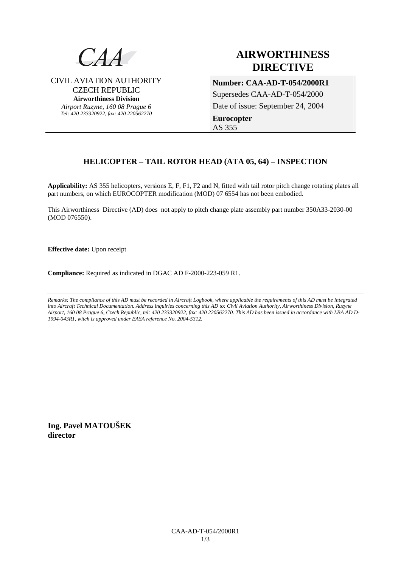

CIVIL AVIATION AUTHORITY CZECH REPUBLIC **Airworthiness Division**  *Airport Ruzyne, 160 08 Prague 6 Tel: 420 233320922, fax: 420 220562270*

# **AIRWORTHINESS DIRECTIVE**

**Number: CAA-AD-T-054/2000R1**  Supersedes CAA-AD-T-054/2000 Date of issue: September 24, 2004 **Eurocopter**  AS 355

# **HELICOPTER – TAIL ROTOR HEAD (ATA 05, 64) – INSPECTION**

**Applicability:** AS 355 helicopters, versions E, F, F1, F2 and N, fitted with tail rotor pitch change rotating plates all part numbers, on which EUROCOPTER modification (MOD) 07 6554 has not been embodied.

This Airworthiness Directive (AD) does not apply to pitch change plate assembly part number 350A33-2030-00 (MOD 076550).

**Effective date:** Upon receipt

**Compliance:** Required as indicated in DGAC AD F-2000-223-059 R1.

*Remarks: The compliance of this AD must be recorded in Aircraft Logbook, where applicable the requirements of this AD must be integrated into Aircraft Technical Documentation. Address inquiries concerning this AD to: Civil Aviation Authority, Airworthiness Division, Ruzyne Airport, 160 08 Prague 6, Czech Republic, tel: 420 233320922, fax: 420 220562270. This AD has been issued in accordance with LBA AD D-1994-043R1, witch is approved under EASA reference No. 2004-5312.* 

**Ing. Pavel MATOUŠEK director**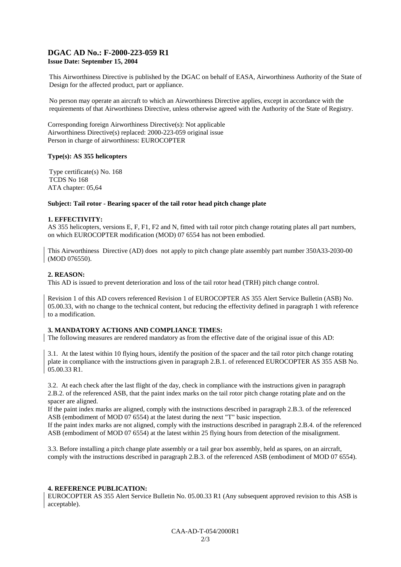# **DGAC AD No.: F-2000-223-059 R1 Issue Date: September 15, 2004**

This Airworthiness Directive is published by the DGAC on behalf of EASA, Airworthiness Authority of the State of Design for the affected product, part or appliance.

No person may operate an aircraft to which an Airworthiness Directive applies, except in accordance with the requirements of that Airworthiness Directive, unless otherwise agreed with the Authority of the State of Registry.

Corresponding foreign Airworthiness Directive(s): Not applicable Airworthiness Directive(s) replaced: 2000-223-059 original issue Person in charge of airworthiness: EUROCOPTER

#### **Type(s): AS 355 helicopters**

Type certificate(s) No. 168 TCDS No 168 ATA chapter: 05,64

#### **Subject: Tail rotor - Bearing spacer of the tail rotor head pitch change plate**

#### **1. EFFECTIVITY:**

AS 355 helicopters, versions E, F, F1, F2 and N, fitted with tail rotor pitch change rotating plates all part numbers, on which EUROCOPTER modification (MOD) 07 6554 has not been embodied.

This Airworthiness Directive (AD) does not apply to pitch change plate assembly part number 350A33-2030-00 (MOD 076550).

#### **2. REASON:**

This AD is issued to prevent deterioration and loss of the tail rotor head (TRH) pitch change control.

Revision 1 of this AD covers referenced Revision 1 of EUROCOPTER AS 355 Alert Service Bulletin (ASB) No. 05.00.33, with no change to the technical content, but reducing the effectivity defined in paragraph 1 with reference to a modification.

#### **3. MANDATORY ACTIONS AND COMPLIANCE TIMES:**

The following measures are rendered mandatory as from the effective date of the original issue of this AD:

3.1. At the latest within 10 flying hours, identify the position of the spacer and the tail rotor pitch change rotating plate in compliance with the instructions given in paragraph 2.B.1. of referenced EUROCOPTER AS 355 ASB No. 05.00.33 R1.

3.2. At each check after the last flight of the day, check in compliance with the instructions given in paragraph 2.B.2. of the referenced ASB, that the paint index marks on the tail rotor pitch change rotating plate and on the spacer are aligned.

If the paint index marks are aligned, comply with the instructions described in paragraph 2.B.3. of the referenced ASB (embodiment of MOD 07 6554) at the latest during the next "T" basic inspection.

If the paint index marks are not aligned, comply with the instructions described in paragraph 2.B.4. of the referenced ASB (embodiment of MOD 07 6554) at the latest within 25 flying hours from detection of the misalignment.

3.3. Before installing a pitch change plate assembly or a tail gear box assembly, held as spares, on an aircraft, comply with the instructions described in paragraph 2.B.3. of the referenced ASB (embodiment of MOD 07 6554).

#### **4. REFERENCE PUBLICATION:**

EUROCOPTER AS 355 Alert Service Bulletin No. 05.00.33 R1 (Any subsequent approved revision to this ASB is acceptable).